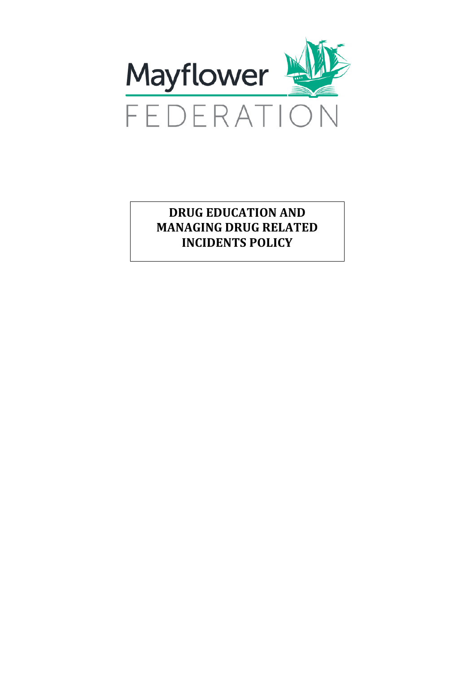

**DRUG EDUCATION AND MANAGING DRUG RELATED INCIDENTS POLICY**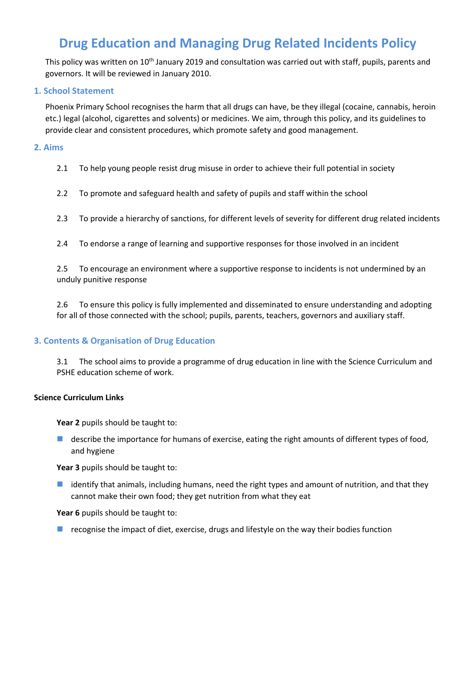# **Drug Education and Managing Drug Related Incidents Policy**

This policy was written on 10<sup>th</sup> January 2019 and consultation was carried out with staff, pupils, parents and governors. It will be reviewed in January 2010.

# **1. School Statement**

Phoenix Primary School recognises the harm that all drugs can have, be they illegal (cocaine, cannabis, heroin etc.) legal (alcohol, cigarettes and solvents) or medicines. We aim, through this policy, and its guidelines to provide clear and consistent procedures, which promote safety and good management.

# **2. Aims**

2.1 To help young people resist drug misuse in order to achieve their full potential in society

2.2 To promote and safeguard health and safety of pupils and staff within the school

- 2.3 To provide a hierarchy of sanctions, for different levels of severity for different drug related incidents
- 2.4 To endorse a range of learning and supportive responses for those involved in an incident

2.5 To encourage an environment where a supportive response to incidents is not undermined by an unduly punitive response

2.6 To ensure this policy is fully implemented and disseminated to ensure understanding and adopting for all of those connected with the school; pupils, parents, teachers, governors and auxiliary staff.

# **3. Contents & Organisation of Drug Education**

3.1 The school aims to provide a programme of drug education in line with the Science Curriculum and PSHE education scheme of work.

# **Science Curriculum Links**

**Year 2** pupils should be taught to:

**describe the importance for humans of exercise, eating the right amounts of different types of food,** and hygiene

Year 3 pupils should be taught to:

 $\blacksquare$  identify that animals, including humans, need the right types and amount of nutrition, and that they cannot make their own food; they get nutrition from what they eat

Year 6 pupils should be taught to:

 $\blacksquare$  recognise the impact of diet, exercise, drugs and lifestyle on the way their bodies function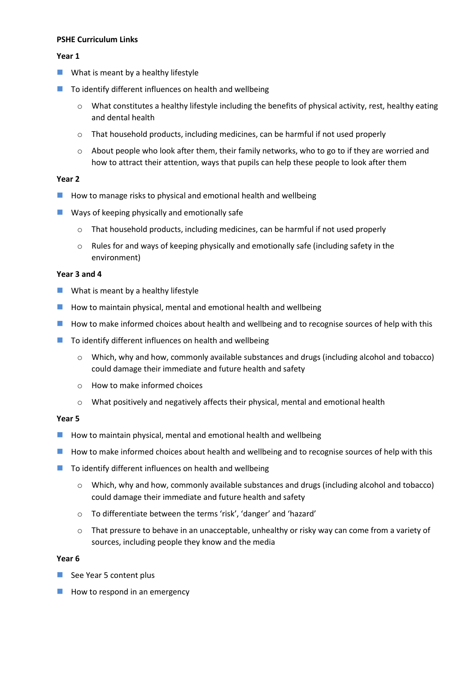# **PSHE Curriculum Links**

## **Year 1**

- $\blacksquare$  What is meant by a healthy lifestyle
- $\blacksquare$  To identify different influences on health and wellbeing
	- o What constitutes a healthy lifestyle including the benefits of physical activity, rest, healthy eating and dental health
	- o That household products, including medicines, can be harmful if not used properly
	- o About people who look after them, their family networks, who to go to if they are worried and how to attract their attention, ways that pupils can help these people to look after them

## **Year 2**

- **How to manage risks to physical and emotional health and wellbeing**
- **EXTERGIVE 2018 Ways of keeping physically and emotionally safe** 
	- o That household products, including medicines, can be harmful if not used properly
	- o Rules for and ways of keeping physically and emotionally safe (including safety in the environment)

#### **Year 3 and 4**

- $\blacksquare$  What is meant by a healthy lifestyle
- $\blacksquare$  How to maintain physical, mental and emotional health and wellbeing
- **H** How to make informed choices about health and wellbeing and to recognise sources of help with this
- $\blacksquare$  To identify different influences on health and wellbeing
	- o Which, why and how, commonly available substances and drugs (including alcohol and tobacco) could damage their immediate and future health and safety
	- o How to make informed choices
	- o What positively and negatively affects their physical, mental and emotional health

#### **Year 5**

- $\blacksquare$  How to maintain physical, mental and emotional health and wellbeing
- **How to make informed choices about health and wellbeing and to recognise sources of help with this**
- $\blacksquare$  To identify different influences on health and wellbeing
	- o Which, why and how, commonly available substances and drugs (including alcohol and tobacco) could damage their immediate and future health and safety
	- o To differentiate between the terms 'risk', 'danger' and 'hazard'
	- o That pressure to behave in an unacceptable, unhealthy or risky way can come from a variety of sources, including people they know and the media

#### **Year 6**

- $\blacksquare$  See Year 5 content plus
- $\blacksquare$  How to respond in an emergency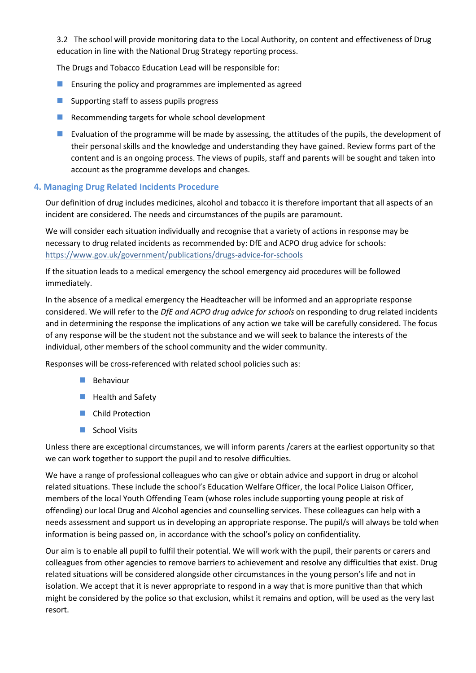3.2 The school will provide monitoring data to the Local Authority, on content and effectiveness of Drug education in line with the National Drug Strategy reporting process.

The Drugs and Tobacco Education Lead will be responsible for:

- **Ensuring the policy and programmes are implemented as agreed**
- $\blacksquare$  Supporting staff to assess pupils progress
- Recommending targets for whole school development
- **Evaluation of the programme will be made by assessing, the attitudes of the pupils, the development of** their personal skills and the knowledge and understanding they have gained. Review forms part of the content and is an ongoing process. The views of pupils, staff and parents will be sought and taken into account as the programme develops and changes.

# **4. Managing Drug Related Incidents Procedure**

Our definition of drug includes medicines, alcohol and tobacco it is therefore important that all aspects of an incident are considered. The needs and circumstances of the pupils are paramount.

We will consider each situation individually and recognise that a variety of actions in response may be necessary to drug related incidents as recommended by: DfE and ACPO drug advice for schools: <https://www.gov.uk/government/publications/drugs-advice-for-schools>

If the situation leads to a medical emergency the school emergency aid procedures will be followed immediately.

In the absence of a medical emergency the Headteacher will be informed and an appropriate response considered. We will refer to the *DfE and ACPO drug advice for schools* on responding to drug related incidents and in determining the response the implications of any action we take will be carefully considered. The focus of any response will be the student not the substance and we will seek to balance the interests of the individual, other members of the school community and the wider community.

Responses will be cross-referenced with related school policies such as:

- $\blacksquare$  Behaviour
- **Health and Safety**
- Child Protection
- School Visits

Unless there are exceptional circumstances, we will inform parents /carers at the earliest opportunity so that we can work together to support the pupil and to resolve difficulties.

We have a range of professional colleagues who can give or obtain advice and support in drug or alcohol related situations. These include the school's Education Welfare Officer, the local Police Liaison Officer, members of the local Youth Offending Team (whose roles include supporting young people at risk of offending) our local Drug and Alcohol agencies and counselling services. These colleagues can help with a needs assessment and support us in developing an appropriate response. The pupil/s will always be told when information is being passed on, in accordance with the school's policy on confidentiality.

Our aim is to enable all pupil to fulfil their potential. We will work with the pupil, their parents or carers and colleagues from other agencies to remove barriers to achievement and resolve any difficulties that exist. Drug related situations will be considered alongside other circumstances in the young person's life and not in isolation. We accept that it is never appropriate to respond in a way that is more punitive than that which might be considered by the police so that exclusion, whilst it remains and option, will be used as the very last resort.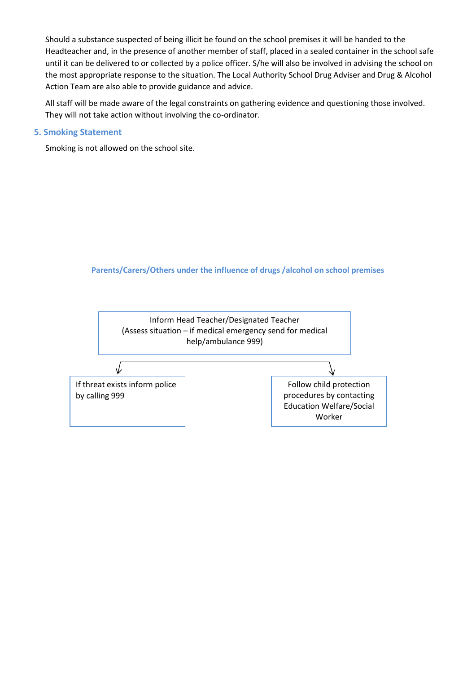Should a substance suspected of being illicit be found on the school premises it will be handed to the Headteacher and, in the presence of another member of staff, placed in a sealed container in the school safe until it can be delivered to or collected by a police officer. S/he will also be involved in advising the school on the most appropriate response to the situation. The Local Authority School Drug Adviser and Drug & Alcohol Action Team are also able to provide guidance and advice.

All staff will be made aware of the legal constraints on gathering evidence and questioning those involved. They will not take action without involving the co-ordinator.

## **5. Smoking Statement**

Smoking is not allowed on the school site.

# **Parents/Carers/Others under the influence of drugs /alcohol on school premises**

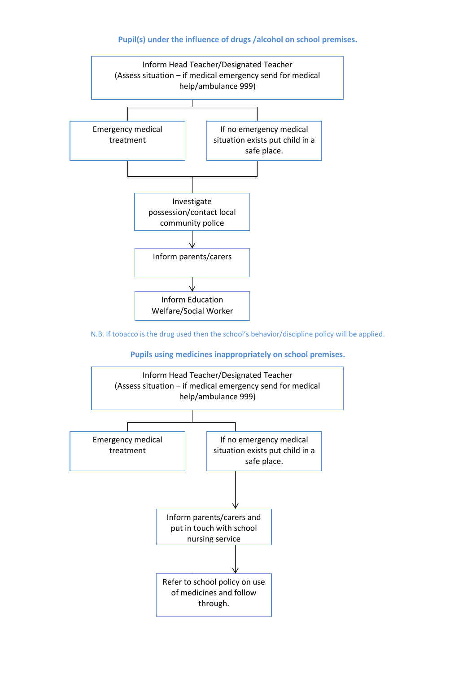# **Pupil(s) under the influence of drugs /alcohol on school premises.**



N.B. If tobacco is the drug used then the school's behavior/discipline policy will be applied.

#### **Pupils using medicines inappropriately on school premises.**

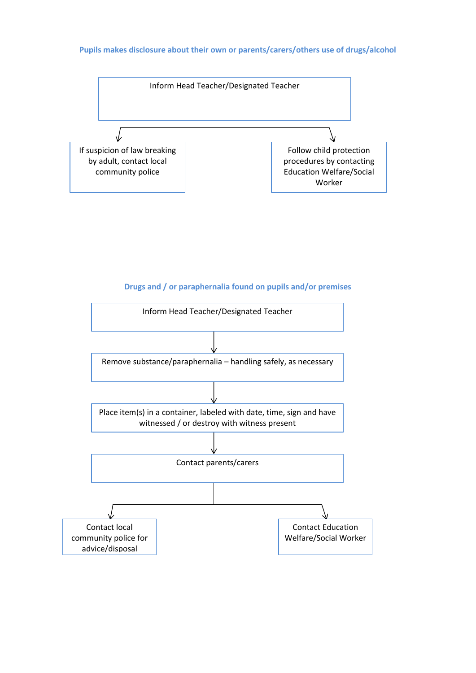# **Pupils makes disclosure about their own or parents/carers/others use of drugs/alcohol**



# **Drugs and / or paraphernalia found on pupils and/or premises**